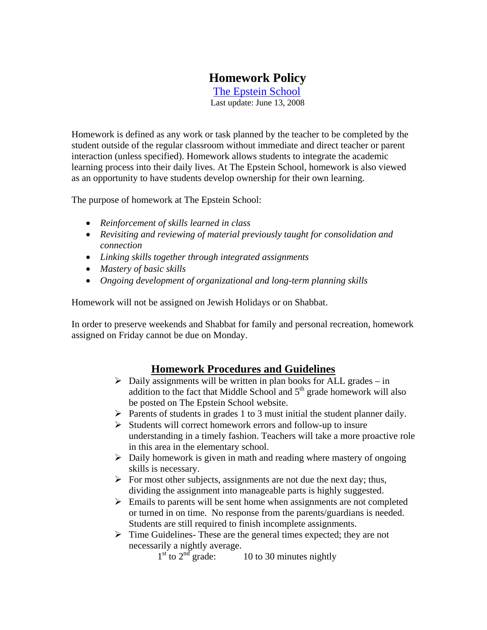# **Homework Policy**

 The Epstein School Last update: June 13, 2008

Homework is defined as any work or task planned by the teacher to be completed by the student outside of the regular classroom without immediate and direct teacher or parent interaction (unless specified). Homework allows students to integrate the academic learning process into their daily lives. At The Epstein School, homework is also viewed as an opportunity to have students develop ownership for their own learning.

The purpose of homework at The Epstein School:

- *Reinforcement of skills learned in class*
- *Revisiting and reviewing of material previously taught for consolidation and connection*
- *Linking skills together through integrated assignments*
- *Mastery of basic skills*
- *Ongoing development of organizational and long-term planning skills*

Homework will not be assigned on Jewish Holidays or on Shabbat.

In order to preserve weekends and Shabbat for family and personal recreation, homework assigned on Friday cannot be due on Monday.

## **Homework Procedures and Guidelines**

- $\triangleright$  Daily assignments will be written in plan books for ALL grades in addition to the fact that Middle School and  $5<sup>th</sup>$  grade homework will also be posted on The Epstein School website.
- $\triangleright$  Parents of students in grades 1 to 3 must initial the student planner daily.
- $\triangleright$  Students will correct homework errors and follow-up to insure understanding in a timely fashion. Teachers will take a more proactive role in this area in the elementary school.
- $\triangleright$  Daily homework is given in math and reading where mastery of ongoing skills is necessary.
- $\triangleright$  For most other subjects, assignments are not due the next day; thus, dividing the assignment into manageable parts is highly suggested.
- $\triangleright$  Emails to parents will be sent home when assignments are not completed or turned in on time. No response from the parents/guardians is needed. Students are still required to finish incomplete assignments.
- $\triangleright$  Time Guidelines-These are the general times expected; they are not necessarily a nightly average.

 $1<sup>st</sup>$  to  $2<sup>nd</sup>$  grade:  $10$  to 30 minutes nightly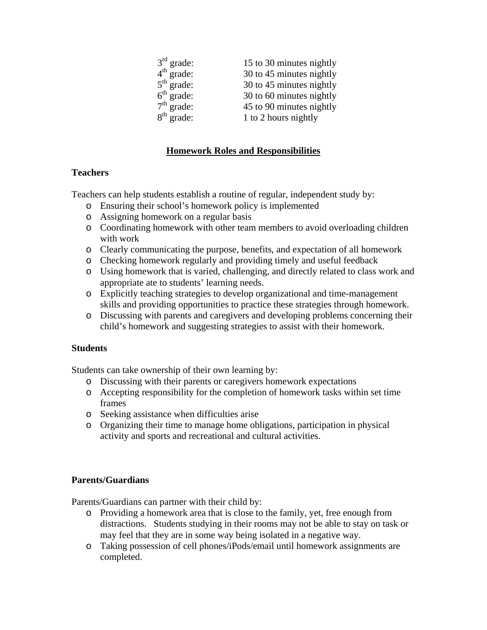| $3rd$ grade: | 15 to 30 minutes nightly |
|--------------|--------------------------|
| $4th$ grade: | 30 to 45 minutes nightly |
| $5th$ grade: | 30 to 45 minutes nightly |
| $6th$ grade: | 30 to 60 minutes nightly |
| $7th$ grade: | 45 to 90 minutes nightly |
| $8th$ grade: | 1 to 2 hours nightly     |

## **Homework Roles and Responsibilities**

### **Teachers**

Teachers can help students establish a routine of regular, independent study by:

- o Ensuring their school's homework policy is implemented
- o Assigning homework on a regular basis
- o Coordinating homework with other team members to avoid overloading children with work
- o Clearly communicating the purpose, benefits, and expectation of all homework
- o Checking homework regularly and providing timely and useful feedback
- o Using homework that is varied, challenging, and directly related to class work and appropriate ate to students' learning needs.
- o Explicitly teaching strategies to develop organizational and time-management skills and providing opportunities to practice these strategies through homework.
- o Discussing with parents and caregivers and developing problems concerning their child's homework and suggesting strategies to assist with their homework.

#### **Students**

Students can take ownership of their own learning by:

- o Discussing with their parents or caregivers homework expectations
- o Accepting responsibility for the completion of homework tasks within set time frames
- o Seeking assistance when difficulties arise
- o Organizing their time to manage home obligations, participation in physical activity and sports and recreational and cultural activities.

#### **Parents/Guardians**

Parents/Guardians can partner with their child by:

- o Providing a homework area that is close to the family, yet, free enough from distractions. Students studying in their rooms may not be able to stay on task or may feel that they are in some way being isolated in a negative way.
- o Taking possession of cell phones/iPods/email until homework assignments are completed.